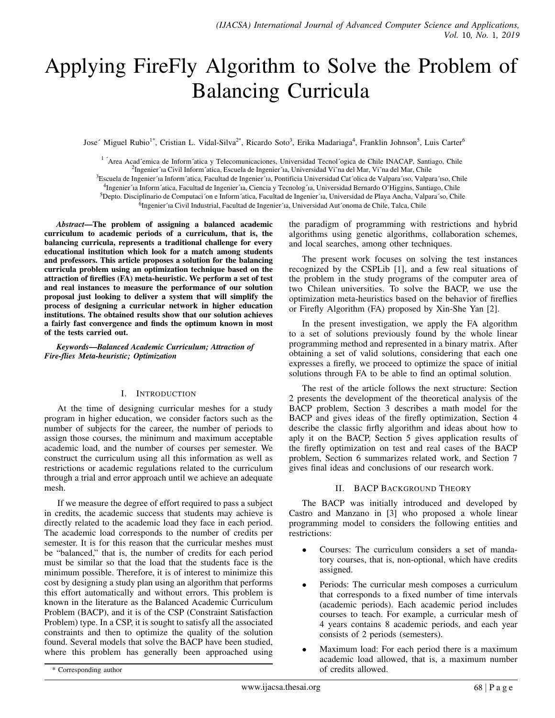# Applying FireFly Algorithm to Solve the Problem of Balancing Curricula

Jose´ Miguel Rubio<sup>1\*</sup>, Cristian L. Vidal-Silva<sup>2\*</sup>, Ricardo Soto<sup>3</sup>, Erika Madariaga<sup>4</sup>, Franklin Johnson<sup>5</sup>, Luis Carter<sup>6</sup>

<sup>1</sup> ´Area Acad´emica de Inform´atica y Telecomunicaciones, Universidad Tecnol´ogica de Chile INACAP, Santiago, Chile

<sup>2</sup>Ingenier´ıa Civil Inform´atica, Escuela de Ingenier´ıa, Universidad Vi~na del Mar, Vi~na del Mar, Chile

<sup>3</sup>Escuela de Ingenier´ia Inform´atica, Facultad de Ingenier´ia, Pontificia Universidad Cat´olica de Valpara´ıso, Valpara´ıso, Chile

4 Ingenier´ıa Inform´atica, Facultad de Ingenier´ıa, Ciencia y Tecnolog´ıa, Universidad Bernardo O'Higgins, Santiago, Chile

<sup>5</sup>Depto. Disciplinario de Computaci´on e Inform´atica, Facultad de Ingenier´ia, Universidad de Playa Ancha, Valpara´so, Chile

<sup>6</sup>Ingenier´ıa Civil Industrial, Facultad de Ingenier´ıa, Universidad Aut´onoma de Chile, Talca, Chile

*Abstract*—The problem of assigning a balanced academic curriculum to academic periods of a curriculum, that is, the balancing curricula, represents a traditional challenge for every educational institution which look for a match among students and professors. This article proposes a solution for the balancing curricula problem using an optimization technique based on the attraction of fireflies (FA) meta-heuristic. We perform a set of test and real instances to measure the performance of our solution proposal just looking to deliver a system that will simplify the process of designing a curricular network in higher education institutions. The obtained results show that our solution achieves a fairly fast convergence and finds the optimum known in most of the tests carried out.

*Keywords*—*Balanced Academic Curriculum; Attraction of Fire-flies Meta-heuristic; Optimization*

#### I. INTRODUCTION

At the time of designing curricular meshes for a study program in higher education, we consider factors such as the number of subjects for the career, the number of periods to assign those courses, the minimum and maximum acceptable academic load, and the number of courses per semester. We construct the curriculum using all this information as well as restrictions or academic regulations related to the curriculum through a trial and error approach until we achieve an adequate mesh.

If we measure the degree of effort required to pass a subject in credits, the academic success that students may achieve is directly related to the academic load they face in each period. The academic load corresponds to the number of credits per semester. It is for this reason that the curricular meshes must be "balanced," that is, the number of credits for each period must be similar so that the load that the students face is the minimum possible. Therefore, it is of interest to minimize this cost by designing a study plan using an algorithm that performs this effort automatically and without errors. This problem is known in the literature as the Balanced Academic Curriculum Problem (BACP), and it is of the CSP (Constraint Satisfaction Problem) type. In a CSP, it is sought to satisfy all the associated constraints and then to optimize the quality of the solution found. Several models that solve the BACP have been studied, where this problem has generally been approached using the paradigm of programming with restrictions and hybrid algorithms using genetic algorithms, collaboration schemes, and local searches, among other techniques.

The present work focuses on solving the test instances recognized by the CSPLib [1], and a few real situations of the problem in the study programs of the computer area of two Chilean universities. To solve the BACP, we use the optimization meta-heuristics based on the behavior of fireflies or Firefly Algorithm (FA) proposed by Xin-She Yan [2].

In the present investigation, we apply the FA algorithm to a set of solutions previously found by the whole linear programming method and represented in a binary matrix. After obtaining a set of valid solutions, considering that each one expresses a firefly, we proceed to optimize the space of initial solutions through FA to be able to find an optimal solution.

The rest of the article follows the next structure: Section 2 presents the development of the theoretical analysis of the BACP problem, Section 3 describes a math model for the BACP and gives ideas of the firefly optimization, Section 4 describe the classic firfly algorithm and ideas about how to aply it on the BACP, Section 5 gives application results of the firefly optimization on test and real cases of the BACP problem, Section 6 summarizes related work, and Section 7 gives final ideas and conclusions of our research work.

## II. BACP BACKGROUND THEORY

The BACP was initially introduced and developed by Castro and Manzano in [3] who proposed a whole linear programming model to considers the following entities and restrictions:

- Courses: The curriculum considers a set of mandatory courses, that is, non-optional, which have credits assigned.
- Periods: The curricular mesh composes a curriculum that corresponds to a fixed number of time intervals (academic periods). Each academic period includes courses to teach. For example, a curricular mesh of 4 years contains 8 academic periods, and each year consists of 2 periods (semesters).
- Maximum load: For each period there is a maximum academic load allowed, that is, a maximum number of credits allowed.

<sup>\*</sup> Corresponding author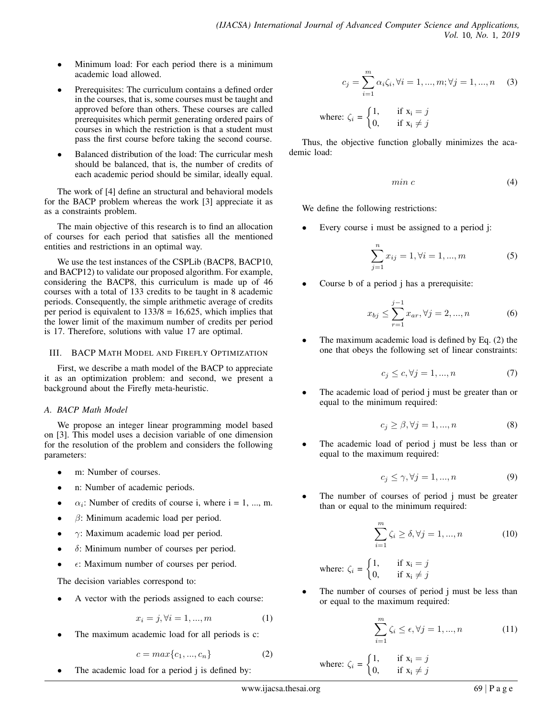- Minimum load: For each period there is a minimum academic load allowed.
- Prerequisites: The curriculum contains a defined order in the courses, that is, some courses must be taught and approved before than others. These courses are called prerequisites which permit generating ordered pairs of courses in which the restriction is that a student must pass the first course before taking the second course.
- Balanced distribution of the load: The curricular mesh should be balanced, that is, the number of credits of each academic period should be similar, ideally equal.

The work of [4] define an structural and behavioral models for the BACP problem whereas the work [3] appreciate it as as a constraints problem.

The main objective of this research is to find an allocation of courses for each period that satisfies all the mentioned entities and restrictions in an optimal way.

We use the test instances of the CSPLib (BACP8, BACP10, and BACP12) to validate our proposed algorithm. For example, considering the BACP8, this curriculum is made up of 46 courses with a total of 133 credits to be taught in 8 academic periods. Consequently, the simple arithmetic average of credits per period is equivalent to  $133/8 = 16,625$ , which implies that the lower limit of the maximum number of credits per period is 17. Therefore, solutions with value 17 are optimal.

## III. BACP MATH MODEL AND FIREFLY OPTIMIZATION

First, we describe a math model of the BACP to appreciate it as an optimization problem: and second, we present a background about the Firefly meta-heuristic.

# *A. BACP Math Model*

We propose an integer linear programming model based on [3]. This model uses a decision variable of one dimension for the resolution of the problem and considers the following parameters:

- m: Number of courses.
- n: Number of academic periods.
- $\alpha_i$ : Number of credits of course i, where i = 1, ..., m.
- $\beta$ : Minimum academic load per period.
- $\gamma$ : Maximum academic load per period.
- $\delta$ : Minimum number of courses per period.
- $\epsilon$ : Maximum number of courses per period.

The decision variables correspond to:

A vector with the periods assigned to each course:

$$
x_i = j, \forall i = 1, ..., m
$$
 (1)

The maximum academic load for all periods is c:

$$
c = max\{c_1, ..., c_n\}
$$
 (2)

The academic load for a period j is defined by:

$$
c_j = \sum_{i=1}^{m} \alpha_i \zeta_i, \forall i = 1, ..., m; \forall j = 1, ..., n \quad (3)
$$

where: 
$$
\zeta_i = \begin{cases} 1, & \text{if } x_i = j \\ 0, & \text{if } x_i \neq j \end{cases}
$$

Thus, the objective function globally minimizes the academic load:

$$
min\ c\tag{4}
$$

We define the following restrictions:

Every course i must be assigned to a period j:

$$
\sum_{j=1}^{n} x_{ij} = 1, \forall i = 1, ..., m
$$
 (5)

• Course b of a period j has a prerequisite:

$$
x_{bj} \le \sum_{r=1}^{j-1} x_{ar}, \forall j = 2, ..., n
$$
 (6)

The maximum academic load is defined by Eq.  $(2)$  the one that obeys the following set of linear constraints:

$$
c_j \le c, \forall j = 1, ..., n \tag{7}
$$

The academic load of period j must be greater than or equal to the minimum required:

$$
c_j \ge \beta, \forall j = 1, ..., n \tag{8}
$$

The academic load of period j must be less than or equal to the maximum required:

$$
c_j \le \gamma, \forall j = 1, ..., n \tag{9}
$$

The number of courses of period j must be greater than or equal to the minimum required:

$$
\sum_{i=1}^{m} \zeta_i \ge \delta, \forall j = 1, ..., n
$$
 (10)

where: 
$$
\zeta_i = \begin{cases} 1, & \text{if } x_i = j \\ 0, & \text{if } x_i \neq j \end{cases}
$$

The number of courses of period j must be less than or equal to the maximum required:

$$
\sum_{i=1}^{m} \zeta_i \le \epsilon, \forall j = 1, ..., n \tag{11}
$$

where: 
$$
\zeta_i = \begin{cases} 1, & \text{if } x_i = j \\ 0, & \text{if } x_i \neq j \end{cases}
$$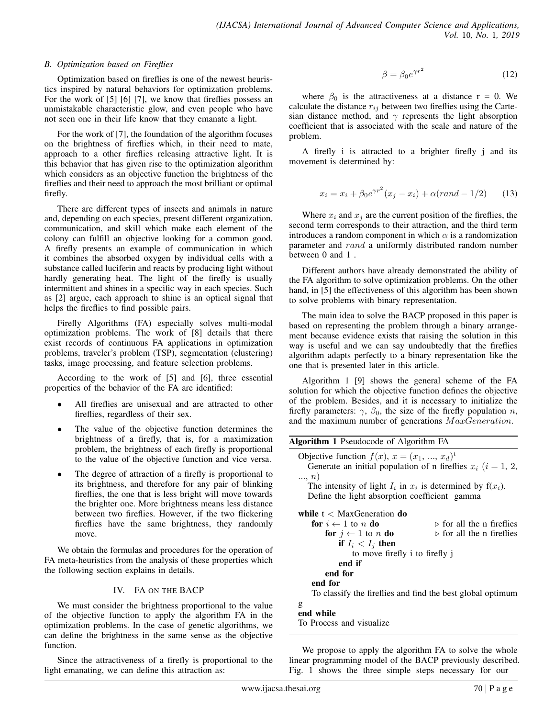## *B. Optimization based on Fireflies*

Optimization based on fireflies is one of the newest heuristics inspired by natural behaviors for optimization problems. For the work of [5] [6] [7], we know that fireflies possess an unmistakable characteristic glow, and even people who have not seen one in their life know that they emanate a light.

For the work of [7], the foundation of the algorithm focuses on the brightness of fireflies which, in their need to mate, approach to a other fireflies releasing attractive light. It is this behavior that has given rise to the optimization algorithm which considers as an objective function the brightness of the fireflies and their need to approach the most brilliant or optimal firefly.

There are different types of insects and animals in nature and, depending on each species, present different organization, communication, and skill which make each element of the colony can fulfill an objective looking for a common good. A firefly presents an example of communication in which it combines the absorbed oxygen by individual cells with a substance called luciferin and reacts by producing light without hardly generating heat. The light of the firefly is usually intermittent and shines in a specific way in each species. Such as [2] argue, each approach to shine is an optical signal that helps the fireflies to find possible pairs.

Firefly Algorithms (FA) especially solves multi-modal optimization problems. The work of [8] details that there exist records of continuous FA applications in optimization problems, traveler's problem (TSP), segmentation (clustering) tasks, image processing, and feature selection problems.

According to the work of [5] and [6], three essential properties of the behavior of the FA are identified:

- All fireflies are unisexual and are attracted to other fireflies, regardless of their sex.
- The value of the objective function determines the brightness of a firefly, that is, for a maximization problem, the brightness of each firefly is proportional to the value of the objective function and vice versa.
- The degree of attraction of a firefly is proportional to its brightness, and therefore for any pair of blinking fireflies, the one that is less bright will move towards the brighter one. More brightness means less distance between two fireflies. However, if the two flickering fireflies have the same brightness, they randomly move.

We obtain the formulas and procedures for the operation of FA meta-heuristics from the analysis of these properties which the following section explains in details.

## IV. FA ON THE BACP

We must consider the brightness proportional to the value of the objective function to apply the algorithm FA in the optimization problems. In the case of genetic algorithms, we can define the brightness in the same sense as the objective function.

Since the attractiveness of a firefly is proportional to the light emanating, we can define this attraction as:

$$
\beta = \beta_0 e^{\gamma r^2} \tag{12}
$$

where  $\beta_0$  is the attractiveness at a distance r = 0. We calculate the distance  $r_{ij}$  between two fireflies using the Cartesian distance method, and  $\gamma$  represents the light absorption coefficient that is associated with the scale and nature of the problem.

A firefly i is attracted to a brighter firefly j and its movement is determined by:

$$
x_i = x_i + \beta_0 e^{\gamma r^2} (x_j - x_i) + \alpha (rand - 1/2)
$$
 (13)

Where  $x_i$  and  $x_j$  are the current position of the fireflies, the second term corresponds to their attraction, and the third term introduces a random component in which  $\alpha$  is a randomization parameter and rand a uniformly distributed random number between 0 and 1 .

Different authors have already demonstrated the ability of the FA algorithm to solve optimization problems. On the other hand, in [5] the effectiveness of this algorithm has been shown to solve problems with binary representation.

The main idea to solve the BACP proposed in this paper is based on representing the problem through a binary arrangement because evidence exists that raising the solution in this way is useful and we can say undoubtedly that the fireflies algorithm adapts perfectly to a binary representation like the one that is presented later in this article.

Algorithm 1 [9] shows the general scheme of the FA solution for which the objective function defines the objective of the problem. Besides, and it is necessary to initialize the firefly parameters:  $\gamma$ ,  $\beta_0$ , the size of the firefly population *n*, and the maximum number of generations  $MaxGeneration$ .

| <b>Algorithm 1</b> Pseudocode of Algorithm FA                                                                                 |                                          |
|-------------------------------------------------------------------------------------------------------------------------------|------------------------------------------|
| Objective function $f(x)$ , $x = (x_1, , x_d)^t$<br>Generate an initial population of n fireflies $x_i$ ( $i = 1, 2,$<br>, n) |                                          |
| The intensity of light $I_i$ in $x_i$ is determined by $f(x_i)$ .                                                             |                                          |
|                                                                                                                               |                                          |
| Define the light absorption coefficient gamma                                                                                 |                                          |
| while $t <$ MaxGeneration do                                                                                                  |                                          |
| for $i \leftarrow 1$ to n do                                                                                                  | $\triangleright$ for all the n fireflies |
| for $j \leftarrow 1$ to n do                                                                                                  | $\triangleright$ for all the n fireflies |
| if $I_i < I_j$ then                                                                                                           |                                          |
| to move firefly i to firefly j                                                                                                |                                          |
| end if                                                                                                                        |                                          |
| end for                                                                                                                       |                                          |
| end for                                                                                                                       |                                          |
| To classify the fireflies and find the best global optimum                                                                    |                                          |
| g                                                                                                                             |                                          |
| end while                                                                                                                     |                                          |
| To Process and visualize                                                                                                      |                                          |
|                                                                                                                               |                                          |

We propose to apply the algorithm FA to solve the whole linear programming model of the BACP previously described. Fig. 1 shows the three simple steps necessary for our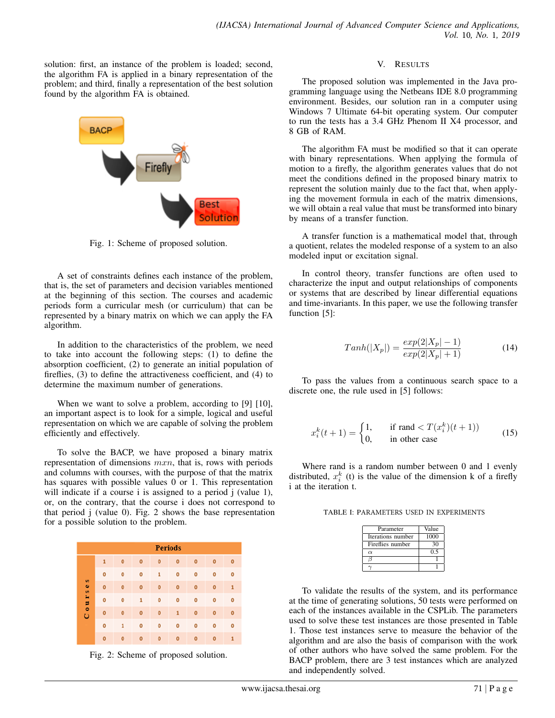solution: first, an instance of the problem is loaded; second, the algorithm FA is applied in a binary representation of the problem; and third, finally a representation of the best solution found by the algorithm FA is obtained.



Fig. 1: Scheme of proposed solution.

A set of constraints defines each instance of the problem, that is, the set of parameters and decision variables mentioned at the beginning of this section. The courses and academic periods form a curricular mesh (or curriculum) that can be represented by a binary matrix on which we can apply the FA algorithm.

In addition to the characteristics of the problem, we need to take into account the following steps: (1) to define the absorption coefficient, (2) to generate an initial population of fireflies, (3) to define the attractiveness coefficient, and (4) to determine the maximum number of generations.

When we want to solve a problem, according to [9] [10], an important aspect is to look for a simple, logical and useful representation on which we are capable of solving the problem efficiently and effectively.

To solve the BACP, we have proposed a binary matrix representation of dimensions  $mxn$ , that is, rows with periods and columns with courses, with the purpose of that the matrix has squares with possible values 0 or 1. This representation will indicate if a course i is assigned to a period j (value 1), or, on the contrary, that the course i does not correspond to that period j (value 0). Fig. 2 shows the base representation for a possible solution to the problem.

| <b>Periods</b>                    |             |           |              |             |             |           |           |              |
|-----------------------------------|-------------|-----------|--------------|-------------|-------------|-----------|-----------|--------------|
| S<br>$\bullet$<br>S<br>$0 \,$ u r | 1           | $\bullet$ | $\mathbf 0$  | $\bullet$   | $\bullet$   | 0         | $\bullet$ | $\bullet$    |
|                                   | $\circ$     | Ō         | $\mathbf 0$  | 1           | $\mathbf 0$ | o         | $\bullet$ | $\mathbf 0$  |
|                                   | $\Omega$    | Ō         | $\mathbf 0$  | $\bullet$   | $\mathbf 0$ | $\bullet$ | $\bullet$ | 1            |
|                                   | $\circ$     | O         | 1            | $\bullet$   | 0           | o         | $\bullet$ | $\mathbf 0$  |
| ں                                 | $\mathbf 0$ | Ō         | $\mathbf{o}$ | $\mathbf 0$ | 1           | O         | $\bullet$ | $\bullet$    |
|                                   | $\circ$     | 1         | 0            | $\bullet$   | o           | o         | $\bullet$ | $\circ$      |
|                                   | $\bullet$   | $\bullet$ | $\bullet$    | $\bullet$   | $\mathbf 0$ | $\bullet$ | $\bullet$ | $\mathbf{1}$ |

Fig. 2: Scheme of proposed solution.

## V. RESULTS

The proposed solution was implemented in the Java programming language using the Netbeans IDE 8.0 programming environment. Besides, our solution ran in a computer using Windows 7 Ultimate 64-bit operating system. Our computer to run the tests has a 3.4 GHz Phenom II X4 processor, and 8 GB of RAM.

The algorithm FA must be modified so that it can operate with binary representations. When applying the formula of motion to a firefly, the algorithm generates values that do not meet the conditions defined in the proposed binary matrix to represent the solution mainly due to the fact that, when applying the movement formula in each of the matrix dimensions, we will obtain a real value that must be transformed into binary by means of a transfer function.

A transfer function is a mathematical model that, through a quotient, relates the modeled response of a system to an also modeled input or excitation signal.

In control theory, transfer functions are often used to characterize the input and output relationships of components or systems that are described by linear differential equations and time-invariants. In this paper, we use the following transfer function [5]:

$$
Tanh(|X_p|) = \frac{exp(2|X_p| - 1)}{exp(2|X_p| + 1)}
$$
(14)

To pass the values from a continuous search space to a discrete one, the rule used in [5] follows:

$$
x_i^k(t+1) = \begin{cases} 1, & \text{if rand} < T(x_i^k)(t+1)) \\ 0, & \text{in other case} \end{cases} \tag{15}
$$

Where rand is a random number between 0 and 1 evenly distributed,  $x_i^k$  (t) is the value of the dimension k of a firefly i at the iteration t.

TABLE I: PARAMETERS USED IN EXPERIMENTS

| Parameter         | Value |
|-------------------|-------|
| Iterations number | 1000  |
| Fireflies number  | 30    |
| $\alpha$          | 0.5   |
|                   |       |
|                   |       |

To validate the results of the system, and its performance at the time of generating solutions, 50 tests were performed on each of the instances available in the CSPLib. The parameters used to solve these test instances are those presented in Table 1. Those test instances serve to measure the behavior of the algorithm and are also the basis of comparison with the work of other authors who have solved the same problem. For the BACP problem, there are 3 test instances which are analyzed and independently solved.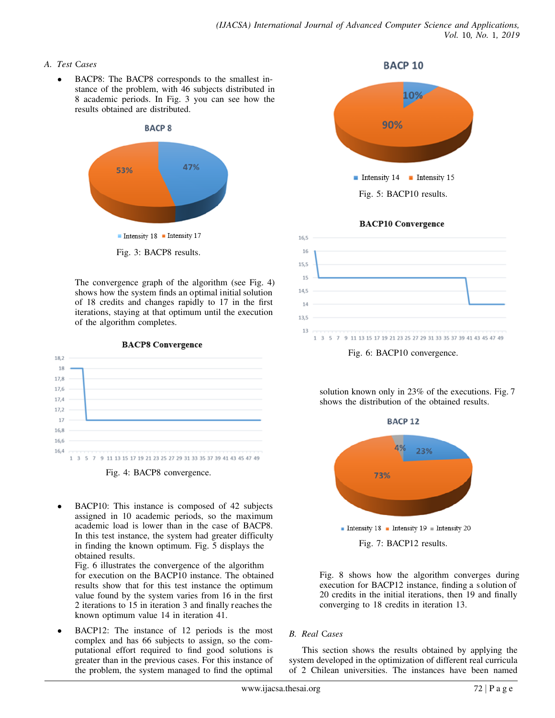# *A. Test* C*ases*

BACP8: The BACP8 corresponds to the smallest instance of the problem, with 46 subjects distributed in 8 academic periods. In Fig. 3 you can see how the results obtained are distributed.



The convergence graph of the algorithm (see Fig. 4) shows how the system finds an optimal initial solution of 18 credits and changes rapidly to 17 in the first iterations, staying at that optimum until the execution of the algorithm completes.

18.2 18 17.8 17.6  $17,4$  $17,7$  $17$  $16,8$ 16,6 16,4 1 3 5 7 9 11 13 15 17 19 21 23 25 27 29 31 33 35 37 39 41 43 45 47 49

**BACP8 Convergence** 



- BACP10: This instance is composed of 42 subjects assigned in 10 academic periods, so the maximum academic load is lower than in the case of BACP8. In this test instance, the system had greater difficulty in finding the known optimum. Fig. 5 displays the obtained results. Fig. 6 illustrates the convergence of the algorithm for execution on the BACP10 instance. The obtained results show that for this test instance the optimum value found by the system varies from 16 in the first 2 iterations to 15 in iteration 3 and finally reaches the
- BACP12: The instance of 12 periods is the most complex and has 66 subjects to assign, so the computational effort required to find good solutions is greater than in the previous cases. For this instance of the problem, the system managed to find the optimal

known optimum value 14 in iteration 41.



**BACP 10** 

**BACP10 Convergence** 



solution known only in 23% of the executions. Fig. 7 shows the distribution of the obtained results.



Fig. 8 shows how the algorithm converges during execution for BACP12 instance, finding a s olution of 20 credits in the initial iterations, then 19 and finally converging to 18 credits in iteration 13.

# *B. Real* C*ases*

This section shows the results obtained by applying the system developed in the optimization of different real curricula of 2 Chilean universities. The instances have been named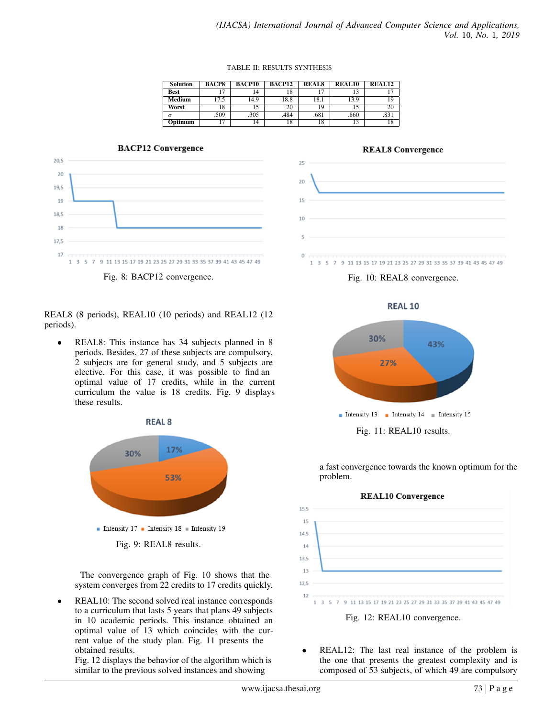#### TABLE II: RESULTS SYNTHESIS

| <b>Solution</b> | <b>BACP8</b> | <b>BACP10</b> | <b>BACP12</b> | <b>REALS</b> | REAL <sub>10</sub> | $\overline{\text{REA}}$ L <sub>12</sub> |
|-----------------|--------------|---------------|---------------|--------------|--------------------|-----------------------------------------|
| <b>Best</b>     |              | ، 4           | 18            |              |                    | ⇁                                       |
| Medium          | 17.5         | 14.9          | 18.8          | 18.1         | 13.9               | 19                                      |
| Worst           | 18           |               | 20            | 19           |                    | 20                                      |
|                 | .509         | .305          | .484          | .681         | .860               | .831                                    |
| Optimum         | ר ו          | 14            | 18            | 18           |                    | 18                                      |

## **BACP12 Convergence**



## REAL8 (8 periods), REAL10 (10 periods) and REAL12 (12 periods).

REAL8: This instance has 34 subjects planned in 8 periods. Besides, 27 of these subjects are compulsory, 2 subjects are for general study, and 5 subjects are elective. For this case, it was possible to find an optimal value of 17 credits, while in the current curriculum the value is 18 credits. Fig. 9 displays these results.



The convergence graph of Fig. 10 shows that the system converges from 22 credits to 17 credits quickly.

REAL10: The second solved real instance corresponds to a curriculum that lasts 5 years that plans 49 subjects in 10 academic periods. This instance obtained an optimal value of 13 which coincides with the current value of the study plan. Fig. 11 presents the obtained results.

Fig. 12 displays the behavior of the algorithm which is similar to the previous solved instances and showing





Fig. 10: REAL8 convergence.



a fast convergence towards the known optimum for the problem.



REAL12: The last real instance of the problem is the one that presents the greatest complexity and is composed of 53 subjects, of which 49 are compulsory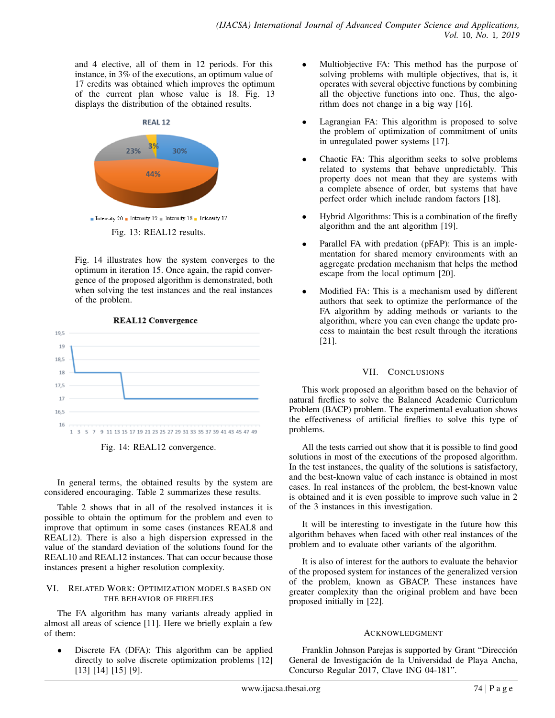and 4 elective, all of them in 12 periods. For this instance, in 3% of the executions, an optimum value of 17 credits was obtained which improves the optimum of the current plan whose value is 18. Fig. 13 displays the distribution of the obtained results.



Fig. 14 illustrates how the system converges to the optimum in iteration 15. Once again, the rapid convergence of the proposed algorithm is demonstrated, both when solving the test instances and the real instances of the problem.





In general terms, the obtained results by the system are considered encouraging. Table 2 summarizes these results.

Table 2 shows that in all of the resolved instances it is possible to obtain the optimum for the problem and even to improve that optimum in some cases (instances REAL8 and REAL12). There is also a high dispersion expressed in the value of the standard deviation of the solutions found for the REAL10 and REAL12 instances. That can occur because those instances present a higher resolution complexity.

#### VI. RELATED WORK: OPTIMIZATION MODELS BASED ON THE BEHAVIOR OF FIREFLIES

The FA algorithm has many variants already applied in almost all areas of science [11]. Here we briefly explain a few of them:

Discrete FA (DFA): This algorithm can be applied directly to solve discrete optimization problems [12] [13] [14] [15] [9].

- Multiobjective FA: This method has the purpose of solving problems with multiple objectives, that is, it operates with several objective functions by combining all the objective functions into one. Thus, the algorithm does not change in a big way [16].
- Lagrangian FA: This algorithm is proposed to solve the problem of optimization of commitment of units in unregulated power systems [17].
- Chaotic FA: This algorithm seeks to solve problems related to systems that behave unpredictably. This property does not mean that they are systems with a complete absence of order, but systems that have perfect order which include random factors [18].
- Hybrid Algorithms: This is a combination of the firefly algorithm and the ant algorithm [19].
- Parallel FA with predation (pFAP): This is an implementation for shared memory environments with an aggregate predation mechanism that helps the method escape from the local optimum [20].
- Modified FA: This is a mechanism used by different authors that seek to optimize the performance of the FA algorithm by adding methods or variants to the algorithm, where you can even change the update process to maintain the best result through the iterations [21].

# VII. CONCLUSIONS

This work proposed an algorithm based on the behavior of natural fireflies to solve the Balanced Academic Curriculum Problem (BACP) problem. The experimental evaluation shows the effectiveness of artificial fireflies to solve this type of problems.

All the tests carried out show that it is possible to find good solutions in most of the executions of the proposed algorithm. In the test instances, the quality of the solutions is satisfactory, and the best-known value of each instance is obtained in most cases. In real instances of the problem, the best-known value is obtained and it is even possible to improve such value in 2 of the 3 instances in this investigation.

It will be interesting to investigate in the future how this algorithm behaves when faced with other real instances of the problem and to evaluate other variants of the algorithm.

It is also of interest for the authors to evaluate the behavior of the proposed system for instances of the generalized version of the problem, known as GBACP. These instances have greater complexity than the original problem and have been proposed initially in [22].

# ACKNOWLEDGMENT

Franklin Johnson Parejas is supported by Grant "Direccion´ General de Investigación de la Universidad de Playa Ancha, Concurso Regular 2017, Clave ING 04-181".